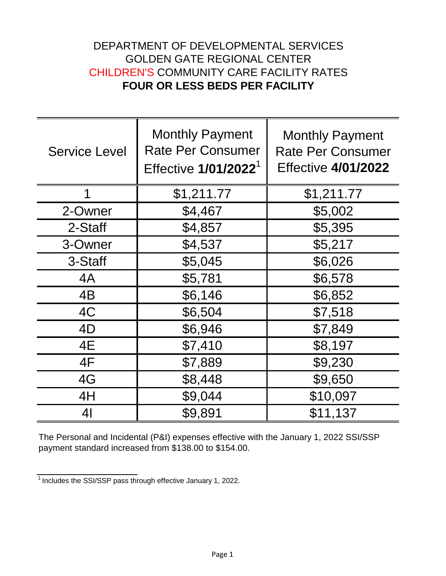## DEPARTMENT OF DEVELOPMENTAL SERVICES GOLDEN GATE REGIONAL CENTER CHILDREN'S COMMUNITY CARE FACILITY RATES **FOUR OR LESS BEDS PER FACILITY**

| <b>Service Level</b> | <b>Monthly Payment</b><br><b>Rate Per Consumer</b><br>Effective 1/01/2022 <sup>1</sup> | <b>Monthly Payment</b><br><b>Rate Per Consumer</b><br><b>Effective 4/01/2022</b> |
|----------------------|----------------------------------------------------------------------------------------|----------------------------------------------------------------------------------|
| 1                    | \$1,211.77                                                                             | \$1,211.77                                                                       |
| 2-Owner              | \$4,467                                                                                | \$5,002                                                                          |
| 2-Staff              | \$4,857                                                                                | \$5,395                                                                          |
| 3-Owner              | \$4,537                                                                                | \$5,217                                                                          |
| 3-Staff              | \$5,045                                                                                | \$6,026                                                                          |
| 4A                   | \$5,781                                                                                | \$6,578                                                                          |
| 4B                   | \$6,146                                                                                | \$6,852                                                                          |
| 4C                   | \$6,504                                                                                | \$7,518                                                                          |
| 4D                   | \$6,946                                                                                | \$7,849                                                                          |
| 4E                   | \$7,410                                                                                | \$8,197                                                                          |
| 4F                   | \$7,889                                                                                | \$9,230                                                                          |
| 4G                   | \$8,448                                                                                | \$9,650                                                                          |
| 4H                   | \$9,044                                                                                | \$10,097                                                                         |
| 4 <sub>l</sub>       | \$9,891                                                                                | \$11,137                                                                         |

The Personal and Incidental (P&I) expenses effective with the January 1, 2022 SSI/SSP payment standard increased from \$138.00 to \$154.00.

 $\frac{1}{1}$ Includes the SSI/SSP pass through effective January 1, 2022.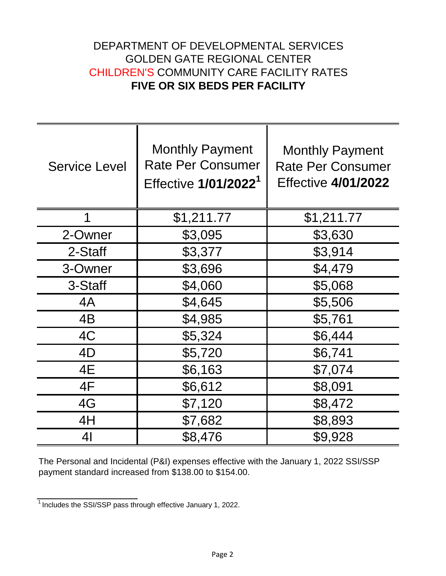## DEPARTMENT OF DEVELOPMENTAL SERVICES GOLDEN GATE REGIONAL CENTER CHILDREN'S COMMUNITY CARE FACILITY RATES **FIVE OR SIX BEDS PER FACILITY**

| <b>Service Level</b> | <b>Monthly Payment</b><br><b>Rate Per Consumer</b><br>Effective 1/01/2022 <sup>1</sup> | <b>Monthly Payment</b><br><b>Rate Per Consumer</b><br><b>Effective 4/01/2022</b> |
|----------------------|----------------------------------------------------------------------------------------|----------------------------------------------------------------------------------|
| 1                    | \$1,211.77                                                                             | \$1,211.77                                                                       |
| 2-Owner              | \$3,095                                                                                | \$3,630                                                                          |
| 2-Staff              | \$3,377                                                                                | \$3,914                                                                          |
| 3-Owner              | \$3,696                                                                                | \$4,479                                                                          |
| 3-Staff              | \$4,060                                                                                | \$5,068                                                                          |
| 4A                   | \$4,645                                                                                | \$5,506                                                                          |
| 4B                   | \$4,985                                                                                | \$5,761                                                                          |
| 4C                   | \$5,324                                                                                | \$6,444                                                                          |
| 4D                   | \$5,720                                                                                | \$6,741                                                                          |
| 4E                   | \$6,163                                                                                | \$7,074                                                                          |
| 4F                   | \$6,612                                                                                | \$8,091                                                                          |
| 4G                   | \$7,120                                                                                | \$8,472                                                                          |
| 4H                   | \$7,682                                                                                | \$8,893                                                                          |
| 4 <sub>l</sub>       | \$8,476                                                                                | \$9,928                                                                          |

The Personal and Incidental (P&I) expenses effective with the January 1, 2022 SSI/SSP payment standard increased from \$138.00 to \$154.00.

 $\frac{1}{1}$  Includes the SSI/SSP pass through effective January 1, 2022.